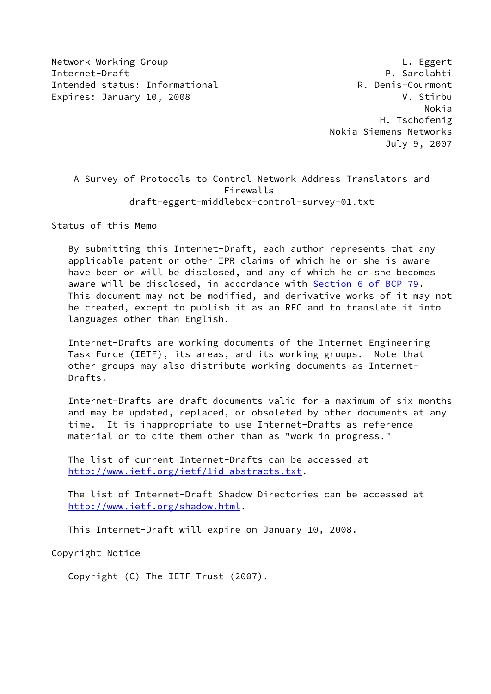Network Working Group **Letter Communist Communist Communist Communist Communist Communist Communist Communist Co** Internet-Draft P. Sarolahti Intended status: Informational **R. Denis-Courmont** Expires: January 10, 2008 V. Stirbu

 Nokia H. Tschofenig Nokia Siemens Networks July 9, 2007

 A Survey of Protocols to Control Network Address Translators and Firewalls draft-eggert-middlebox-control-survey-01.txt

Status of this Memo

 By submitting this Internet-Draft, each author represents that any applicable patent or other IPR claims of which he or she is aware have been or will be disclosed, and any of which he or she becomes aware will be disclosed, in accordance with Section [6 of BCP 79.](https://datatracker.ietf.org/doc/pdf/bcp79#section-6) This document may not be modified, and derivative works of it may not be created, except to publish it as an RFC and to translate it into languages other than English.

 Internet-Drafts are working documents of the Internet Engineering Task Force (IETF), its areas, and its working groups. Note that other groups may also distribute working documents as Internet- Drafts.

 Internet-Drafts are draft documents valid for a maximum of six months and may be updated, replaced, or obsoleted by other documents at any time. It is inappropriate to use Internet-Drafts as reference material or to cite them other than as "work in progress."

 The list of current Internet-Drafts can be accessed at <http://www.ietf.org/ietf/1id-abstracts.txt>.

 The list of Internet-Draft Shadow Directories can be accessed at <http://www.ietf.org/shadow.html>.

This Internet-Draft will expire on January 10, 2008.

Copyright Notice

Copyright (C) The IETF Trust (2007).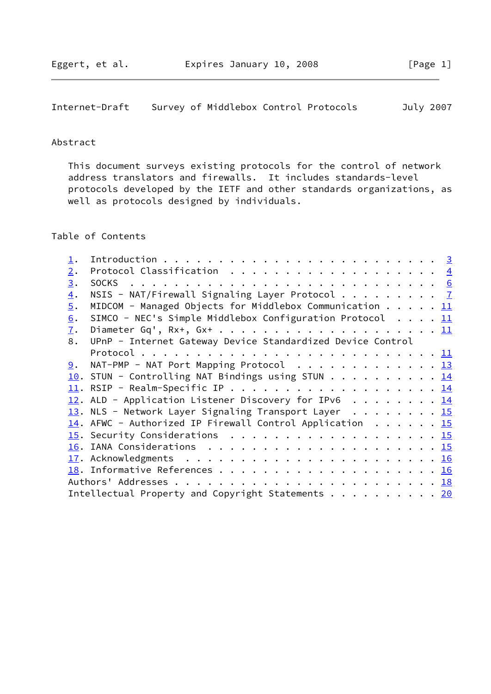Internet-Draft Survey of Middlebox Control Protocols July 2007

## Abstract

 This document surveys existing protocols for the control of network address translators and firewalls. It includes standards-level protocols developed by the IETF and other standards organizations, as well as protocols designed by individuals.

# Table of Contents

| 2.               |                                                                                       |  |  |  |
|------------------|---------------------------------------------------------------------------------------|--|--|--|
| 3.               |                                                                                       |  |  |  |
| $\overline{4}$ . | NSIS - NAT/Firewall Signaling Layer Protocol $\frac{7}{4}$                            |  |  |  |
| 5.               | MIDCOM - Managed Objects for Middlebox Communication $\cdots$ $\cdots$ $\frac{11}{2}$ |  |  |  |
| 6.               | SIMCO - NEC's Simple Middlebox Configuration Protocol $11$                            |  |  |  |
| 7.               |                                                                                       |  |  |  |
| 8.               | UPnP - Internet Gateway Device Standardized Device Control                            |  |  |  |
|                  |                                                                                       |  |  |  |
| 9.               | NAT-PMP - NAT Port Mapping Protocol 13                                                |  |  |  |
|                  | 10. STUN - Controlling NAT Bindings using STUN 14                                     |  |  |  |
|                  |                                                                                       |  |  |  |
|                  | 12. ALD - Application Listener Discovery for IPv6 14                                  |  |  |  |
|                  | $13.$ NLS - Network Layer Signaling Transport Layer 15                                |  |  |  |
|                  | 14. AFWC - Authorized IP Firewall Control Application $\cdots$ 15                     |  |  |  |
|                  |                                                                                       |  |  |  |
|                  |                                                                                       |  |  |  |
|                  |                                                                                       |  |  |  |
|                  |                                                                                       |  |  |  |
|                  |                                                                                       |  |  |  |
|                  | Intellectual Property and Copyright Statements $\cdots$ 20                            |  |  |  |
|                  |                                                                                       |  |  |  |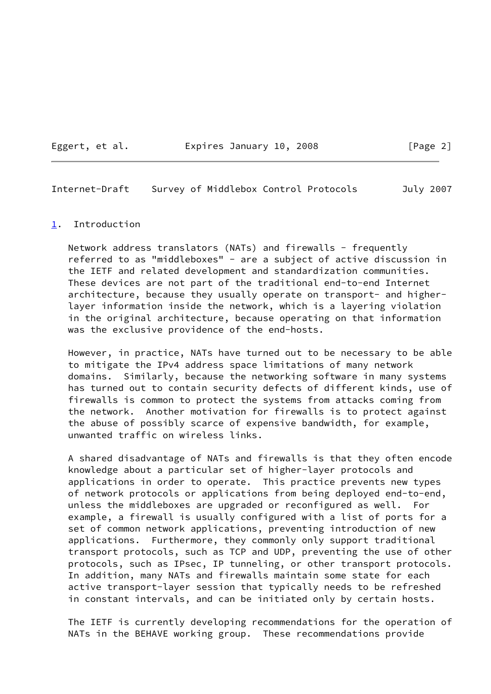Eggert, et al. Expires January 10, 2008 [Page 2]

<span id="page-2-1"></span>Internet-Draft Survey of Middlebox Control Protocols July 2007

#### <span id="page-2-0"></span>[1](#page-2-0). Introduction

Network address translators (NATs) and firewalls - frequently referred to as "middleboxes" - are a subject of active discussion in the IETF and related development and standardization communities. These devices are not part of the traditional end-to-end Internet architecture, because they usually operate on transport- and higher layer information inside the network, which is a layering violation in the original architecture, because operating on that information was the exclusive providence of the end-hosts.

 However, in practice, NATs have turned out to be necessary to be able to mitigate the IPv4 address space limitations of many network domains. Similarly, because the networking software in many systems has turned out to contain security defects of different kinds, use of firewalls is common to protect the systems from attacks coming from the network. Another motivation for firewalls is to protect against the abuse of possibly scarce of expensive bandwidth, for example, unwanted traffic on wireless links.

 A shared disadvantage of NATs and firewalls is that they often encode knowledge about a particular set of higher-layer protocols and applications in order to operate. This practice prevents new types of network protocols or applications from being deployed end-to-end, unless the middleboxes are upgraded or reconfigured as well. For example, a firewall is usually configured with a list of ports for a set of common network applications, preventing introduction of new applications. Furthermore, they commonly only support traditional transport protocols, such as TCP and UDP, preventing the use of other protocols, such as IPsec, IP tunneling, or other transport protocols. In addition, many NATs and firewalls maintain some state for each active transport-layer session that typically needs to be refreshed in constant intervals, and can be initiated only by certain hosts.

 The IETF is currently developing recommendations for the operation of NATs in the BEHAVE working group. These recommendations provide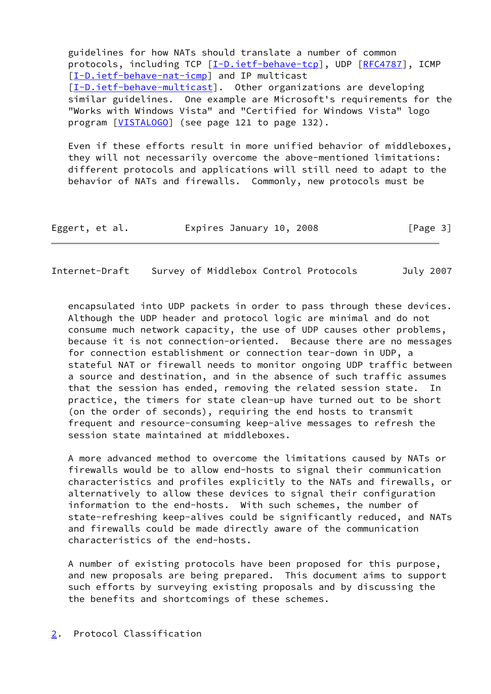guidelines for how NATs should translate a number of common protocols, including TCP [\[I-D.ietf-behave-tcp](#page-17-3)], UDP [\[RFC4787](https://datatracker.ietf.org/doc/pdf/rfc4787)], ICMP [\[I-D.ietf-behave-nat-icmp](#page-17-4)] and IP multicast [\[I-D.ietf-behave-multicast](#page-17-5)]. Other organizations are developing similar guidelines. One example are Microsoft's requirements for the "Works with Windows Vista" and "Certified for Windows Vista" logo program [\[VISTALOGO](#page-19-1)] (see page 121 to page 132).

 Even if these efforts result in more unified behavior of middleboxes, they will not necessarily overcome the above-mentioned limitations: different protocols and applications will still need to adapt to the behavior of NATs and firewalls. Commonly, new protocols must be

| Eggert, et al. | Expires January 10, 2008 |  | [Page 3] |
|----------------|--------------------------|--|----------|
|----------------|--------------------------|--|----------|

<span id="page-3-1"></span>Internet-Draft Survey of Middlebox Control Protocols July 2007

 encapsulated into UDP packets in order to pass through these devices. Although the UDP header and protocol logic are minimal and do not consume much network capacity, the use of UDP causes other problems, because it is not connection-oriented. Because there are no messages for connection establishment or connection tear-down in UDP, a stateful NAT or firewall needs to monitor ongoing UDP traffic between a source and destination, and in the absence of such traffic assumes that the session has ended, removing the related session state. In practice, the timers for state clean-up have turned out to be short (on the order of seconds), requiring the end hosts to transmit frequent and resource-consuming keep-alive messages to refresh the session state maintained at middleboxes.

 A more advanced method to overcome the limitations caused by NATs or firewalls would be to allow end-hosts to signal their communication characteristics and profiles explicitly to the NATs and firewalls, or alternatively to allow these devices to signal their configuration information to the end-hosts. With such schemes, the number of state-refreshing keep-alives could be significantly reduced, and NATs and firewalls could be made directly aware of the communication characteristics of the end-hosts.

 A number of existing protocols have been proposed for this purpose, and new proposals are being prepared. This document aims to support such efforts by surveying existing proposals and by discussing the the benefits and shortcomings of these schemes.

<span id="page-3-0"></span>[2](#page-3-0). Protocol Classification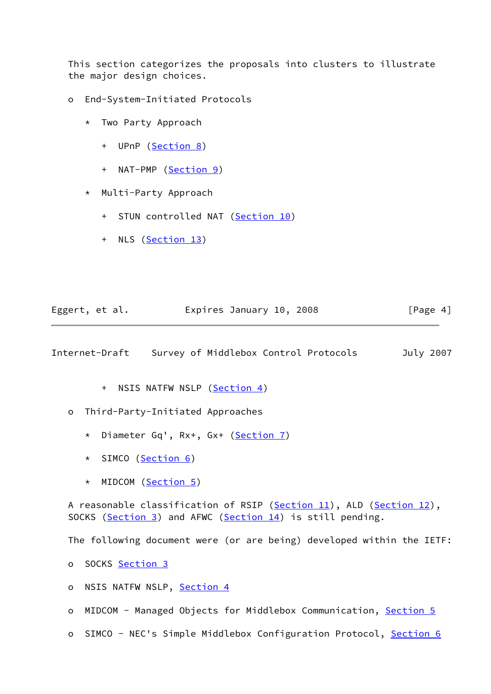This section categorizes the proposals into clusters to illustrate the major design choices.

- o End-System-Initiated Protocols
	- \* Two Party Approach
		- + UPnP ([Section 8\)](#page-12-1)
		- + NAT-PMP [\(Section 9\)](#page-13-0)
	- \* Multi-Party Approach
		- + STUN controlled NAT [\(Section 10\)](#page-15-0)
		- + NLS [\(Section 13\)](#page-16-0)

| Eggert, et al. | Expires January 10, 2008 |  | [Page 4] |
|----------------|--------------------------|--|----------|
|----------------|--------------------------|--|----------|

Internet-Draft Survey of Middlebox Control Protocols July 2007

- + NSIS NATFW NSLP [\(Section 4\)](#page-7-0)
- o Third-Party-Initiated Approaches
	- \* Diameter Gq', Rx+, Gx+ [\(Section 7\)](#page-12-0)
	- \* SIMCO [\(Section 6](#page-11-2))
	- \* MIDCOM [\(Section 5\)](#page-11-0)

A reasonable classification of RSIP [\(Section 11\)](#page-15-1), ALD ([Section 12\)](#page-15-2), SOCKS ([Section 3\)](#page-5-0) and AFWC ([Section 14\)](#page-16-1) is still pending.

The following document were (or are being) developed within the IETF:

o SOCKS [Section 3](#page-5-0)

- o NSIS NATFW NSLP, [Section 4](#page-7-0)
- o MIDCOM Managed Objects for Middlebox Communication, [Section 5](#page-11-0)
- o SIMCO NEC's Simple Middlebox Configuration Protocol, [Section 6](#page-11-2)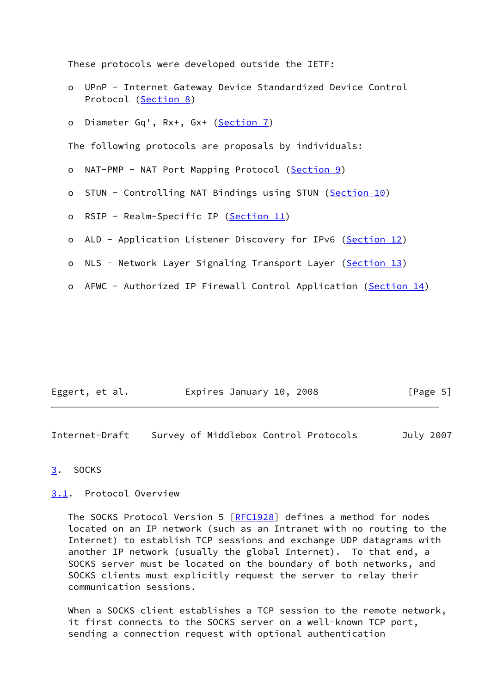These protocols were developed outside the IETF:

- o UPnP Internet Gateway Device Standardized Device Control Protocol [\(Section 8](#page-12-1))
- o Diameter Gq', Rx+, Gx+ ([Section 7\)](#page-12-0)

The following protocols are proposals by individuals:

- o NAT-PMP NAT Port Mapping Protocol [\(Section 9](#page-13-0))
- o STUN Controlling NAT Bindings using STUN ([Section 10\)](#page-15-0)
- o RSIP Realm-Specific IP [\(Section 11\)](#page-15-1)
- o ALD Application Listener Discovery for IPv6 [\(Section 12\)](#page-15-2)
- o NLS Network Layer Signaling Transport Layer [\(Section 13\)](#page-16-0)
- AFWC Authorized IP Firewall Control Application [\(Section 14\)](#page-16-1)

| Eggert, et al. | Expires January 10, 2008 | [Page 5] |
|----------------|--------------------------|----------|
|----------------|--------------------------|----------|

<span id="page-5-1"></span>Internet-Draft Survey of Middlebox Control Protocols July 2007

## <span id="page-5-0"></span>[3](#page-5-0). SOCKS

# <span id="page-5-2"></span>[3.1](#page-5-2). Protocol Overview

The SOCKS Protocol Version 5 [\[RFC1928](https://datatracker.ietf.org/doc/pdf/rfc1928)] defines a method for nodes located on an IP network (such as an Intranet with no routing to the Internet) to establish TCP sessions and exchange UDP datagrams with another IP network (usually the global Internet). To that end, a SOCKS server must be located on the boundary of both networks, and SOCKS clients must explicitly request the server to relay their communication sessions.

 When a SOCKS client establishes a TCP session to the remote network, it first connects to the SOCKS server on a well-known TCP port, sending a connection request with optional authentication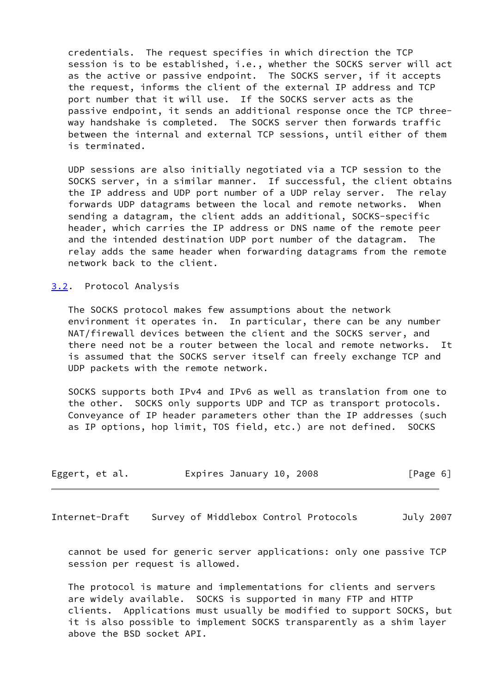credentials. The request specifies in which direction the TCP session is to be established, i.e., whether the SOCKS server will act as the active or passive endpoint. The SOCKS server, if it accepts the request, informs the client of the external IP address and TCP port number that it will use. If the SOCKS server acts as the passive endpoint, it sends an additional response once the TCP three way handshake is completed. The SOCKS server then forwards traffic between the internal and external TCP sessions, until either of them is terminated.

 UDP sessions are also initially negotiated via a TCP session to the SOCKS server, in a similar manner. If successful, the client obtains the IP address and UDP port number of a UDP relay server. The relay forwards UDP datagrams between the local and remote networks. When sending a datagram, the client adds an additional, SOCKS-specific header, which carries the IP address or DNS name of the remote peer and the intended destination UDP port number of the datagram. The relay adds the same header when forwarding datagrams from the remote network back to the client.

<span id="page-6-1"></span>[3.2](#page-6-1). Protocol Analysis

 The SOCKS protocol makes few assumptions about the network environment it operates in. In particular, there can be any number NAT/firewall devices between the client and the SOCKS server, and there need not be a router between the local and remote networks. It is assumed that the SOCKS server itself can freely exchange TCP and UDP packets with the remote network.

 SOCKS supports both IPv4 and IPv6 as well as translation from one to the other. SOCKS only supports UDP and TCP as transport protocols. Conveyance of IP header parameters other than the IP addresses (such as IP options, hop limit, TOS field, etc.) are not defined. SOCKS

| Eggert, et al. | Expires January 10, 2008 |  | [Page 6] |
|----------------|--------------------------|--|----------|
|----------------|--------------------------|--|----------|

<span id="page-6-0"></span>Internet-Draft Survey of Middlebox Control Protocols July 2007

 cannot be used for generic server applications: only one passive TCP session per request is allowed.

 The protocol is mature and implementations for clients and servers are widely available. SOCKS is supported in many FTP and HTTP clients. Applications must usually be modified to support SOCKS, but it is also possible to implement SOCKS transparently as a shim layer above the BSD socket API.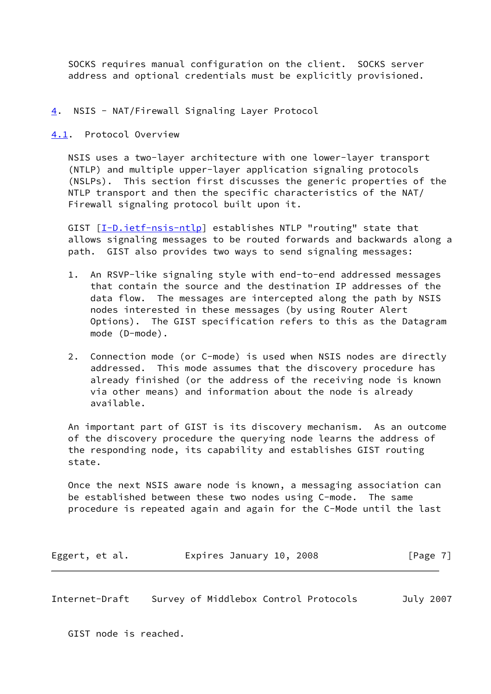SOCKS requires manual configuration on the client. SOCKS server address and optional credentials must be explicitly provisioned.

# <span id="page-7-0"></span>[4](#page-7-0). NSIS - NAT/Firewall Signaling Layer Protocol

<span id="page-7-1"></span>[4.1](#page-7-1). Protocol Overview

 NSIS uses a two-layer architecture with one lower-layer transport (NTLP) and multiple upper-layer application signaling protocols (NSLPs). This section first discusses the generic properties of the NTLP transport and then the specific characteristics of the NAT/ Firewall signaling protocol built upon it.

 GIST [\[I-D.ietf-nsis-ntlp\]](#page-17-6) establishes NTLP "routing" state that allows signaling messages to be routed forwards and backwards along a path. GIST also provides two ways to send signaling messages:

- 1. An RSVP-like signaling style with end-to-end addressed messages that contain the source and the destination IP addresses of the data flow. The messages are intercepted along the path by NSIS nodes interested in these messages (by using Router Alert Options). The GIST specification refers to this as the Datagram mode (D-mode).
- 2. Connection mode (or C-mode) is used when NSIS nodes are directly addressed. This mode assumes that the discovery procedure has already finished (or the address of the receiving node is known via other means) and information about the node is already available.

 An important part of GIST is its discovery mechanism. As an outcome of the discovery procedure the querying node learns the address of the responding node, its capability and establishes GIST routing state.

 Once the next NSIS aware node is known, a messaging association can be established between these two nodes using C-mode. The same procedure is repeated again and again for the C-Mode until the last

Eggert, et al. Expires January 10, 2008 [Page 7]

Internet-Draft Survey of Middlebox Control Protocols July 2007

GIST node is reached.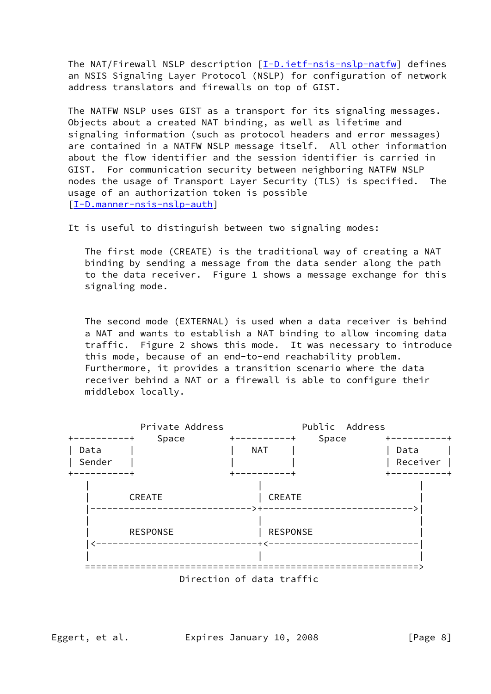The NAT/Firewall NSLP description [[I-D.ietf-nsis-nslp-natfw\]](#page-17-7) defines an NSIS Signaling Layer Protocol (NSLP) for configuration of network address translators and firewalls on top of GIST.

 The NATFW NSLP uses GIST as a transport for its signaling messages. Objects about a created NAT binding, as well as lifetime and signaling information (such as protocol headers and error messages) are contained in a NATFW NSLP message itself. All other information about the flow identifier and the session identifier is carried in GIST. For communication security between neighboring NATFW NSLP nodes the usage of Transport Layer Security (TLS) is specified. The usage of an authorization token is possible [\[I-D.manner-nsis-nslp-auth](#page-17-8)]

It is useful to distinguish between two signaling modes:

 The first mode (CREATE) is the traditional way of creating a NAT binding by sending a message from the data sender along the path to the data receiver. Figure 1 shows a message exchange for this signaling mode.

 The second mode (EXTERNAL) is used when a data receiver is behind a NAT and wants to establish a NAT binding to allow incoming data traffic. Figure 2 shows this mode. It was necessary to introduce this mode, because of an end-to-end reachability problem. Furthermore, it provides a transition scenario where the data receiver behind a NAT or a firewall is able to configure their middlebox locally.



Eggert, et al. Expires January 10, 2008 [Page 8]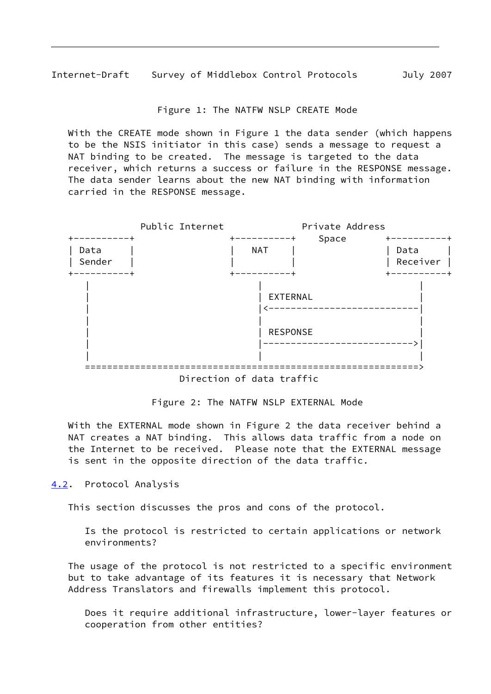Internet-Draft Survey of Middlebox Control Protocols July 2007

Figure 1: The NATFW NSLP CREATE Mode

 With the CREATE mode shown in Figure 1 the data sender (which happens to be the NSIS initiator in this case) sends a message to request a NAT binding to be created. The message is targeted to the data receiver, which returns a success or failure in the RESPONSE message. The data sender learns about the new NAT binding with information carried in the RESPONSE message.



Direction of data traffic

Figure 2: The NATFW NSLP EXTERNAL Mode

 With the EXTERNAL mode shown in Figure 2 the data receiver behind a NAT creates a NAT binding. This allows data traffic from a node on the Internet to be received. Please note that the EXTERNAL message is sent in the opposite direction of the data traffic.

<span id="page-9-0"></span>[4.2](#page-9-0). Protocol Analysis

This section discusses the pros and cons of the protocol.

 Is the protocol is restricted to certain applications or network environments?

 The usage of the protocol is not restricted to a specific environment but to take advantage of its features it is necessary that Network Address Translators and firewalls implement this protocol.

 Does it require additional infrastructure, lower-layer features or cooperation from other entities?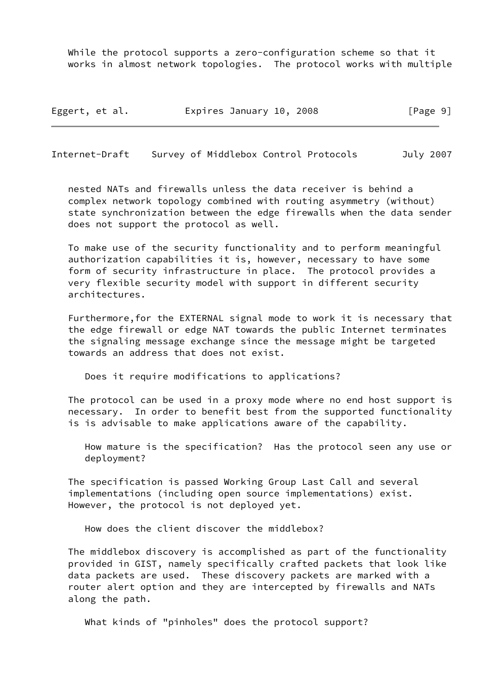While the protocol supports a zero-configuration scheme so that it works in almost network topologies. The protocol works with multiple

Eggert, et al. Expires January 10, 2008 [Page 9]

Internet-Draft Survey of Middlebox Control Protocols July 2007

 nested NATs and firewalls unless the data receiver is behind a complex network topology combined with routing asymmetry (without) state synchronization between the edge firewalls when the data sender does not support the protocol as well.

 To make use of the security functionality and to perform meaningful authorization capabilities it is, however, necessary to have some form of security infrastructure in place. The protocol provides a very flexible security model with support in different security architectures.

 Furthermore,for the EXTERNAL signal mode to work it is necessary that the edge firewall or edge NAT towards the public Internet terminates the signaling message exchange since the message might be targeted towards an address that does not exist.

Does it require modifications to applications?

 The protocol can be used in a proxy mode where no end host support is necessary. In order to benefit best from the supported functionality is is advisable to make applications aware of the capability.

 How mature is the specification? Has the protocol seen any use or deployment?

 The specification is passed Working Group Last Call and several implementations (including open source implementations) exist. However, the protocol is not deployed yet.

How does the client discover the middlebox?

 The middlebox discovery is accomplished as part of the functionality provided in GIST, namely specifically crafted packets that look like data packets are used. These discovery packets are marked with a router alert option and they are intercepted by firewalls and NATs along the path.

What kinds of "pinholes" does the protocol support?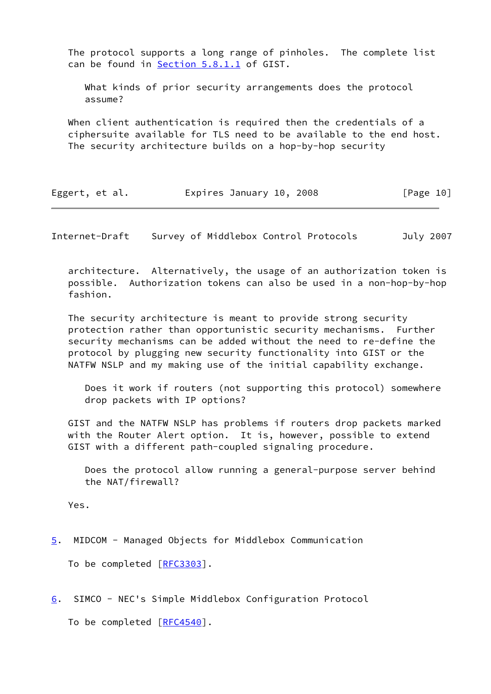The protocol supports a long range of pinholes. The complete list can be found in Section 5.8.1.1 of GIST.

 What kinds of prior security arrangements does the protocol assume?

 When client authentication is required then the credentials of a ciphersuite available for TLS need to be available to the end host. The security architecture builds on a hop-by-hop security

| Eggert, et al. | Expires January 10, 2008 |  | [Page 10] |
|----------------|--------------------------|--|-----------|
|----------------|--------------------------|--|-----------|

<span id="page-11-1"></span>Internet-Draft Survey of Middlebox Control Protocols July 2007

 architecture. Alternatively, the usage of an authorization token is possible. Authorization tokens can also be used in a non-hop-by-hop fashion.

 The security architecture is meant to provide strong security protection rather than opportunistic security mechanisms. Further security mechanisms can be added without the need to re-define the protocol by plugging new security functionality into GIST or the NATFW NSLP and my making use of the initial capability exchange.

 Does it work if routers (not supporting this protocol) somewhere drop packets with IP options?

 GIST and the NATFW NSLP has problems if routers drop packets marked with the Router Alert option. It is, however, possible to extend GIST with a different path-coupled signaling procedure.

 Does the protocol allow running a general-purpose server behind the NAT/firewall?

Yes.

<span id="page-11-0"></span>[5](#page-11-0). MIDCOM - Managed Objects for Middlebox Communication

To be completed [\[RFC3303](https://datatracker.ietf.org/doc/pdf/rfc3303)].

<span id="page-11-2"></span>[6](#page-11-2). SIMCO - NEC's Simple Middlebox Configuration Protocol

To be completed [\[RFC4540](https://datatracker.ietf.org/doc/pdf/rfc4540)].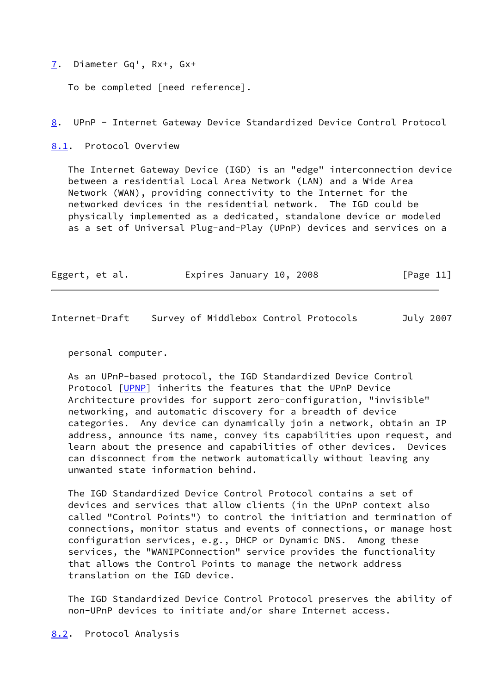<span id="page-12-0"></span>[7](#page-12-0). Diameter Gq', Rx+, Gx+

To be completed [need reference].

<span id="page-12-1"></span>[8](#page-12-1). UPnP - Internet Gateway Device Standardized Device Control Protocol

<span id="page-12-2"></span>[8.1](#page-12-2). Protocol Overview

 The Internet Gateway Device (IGD) is an "edge" interconnection device between a residential Local Area Network (LAN) and a Wide Area Network (WAN), providing connectivity to the Internet for the networked devices in the residential network. The IGD could be physically implemented as a dedicated, standalone device or modeled as a set of Universal Plug-and-Play (UPnP) devices and services on a

|  | Eggert, et al. | Expires January 10, 2008 | [Page 11] |
|--|----------------|--------------------------|-----------|
|--|----------------|--------------------------|-----------|

Internet-Draft Survey of Middlebox Control Protocols July 2007

personal computer.

 As an UPnP-based protocol, the IGD Standardized Device Control Protocol [\[UPNP](#page-18-0)] inherits the features that the UPnP Device Architecture provides for support zero-configuration, "invisible" networking, and automatic discovery for a breadth of device categories. Any device can dynamically join a network, obtain an IP address, announce its name, convey its capabilities upon request, and learn about the presence and capabilities of other devices. Devices can disconnect from the network automatically without leaving any unwanted state information behind.

 The IGD Standardized Device Control Protocol contains a set of devices and services that allow clients (in the UPnP context also called "Control Points") to control the initiation and termination of connections, monitor status and events of connections, or manage host configuration services, e.g., DHCP or Dynamic DNS. Among these services, the "WANIPConnection" service provides the functionality that allows the Control Points to manage the network address translation on the IGD device.

 The IGD Standardized Device Control Protocol preserves the ability of non-UPnP devices to initiate and/or share Internet access.

<span id="page-12-3"></span>[8.2](#page-12-3). Protocol Analysis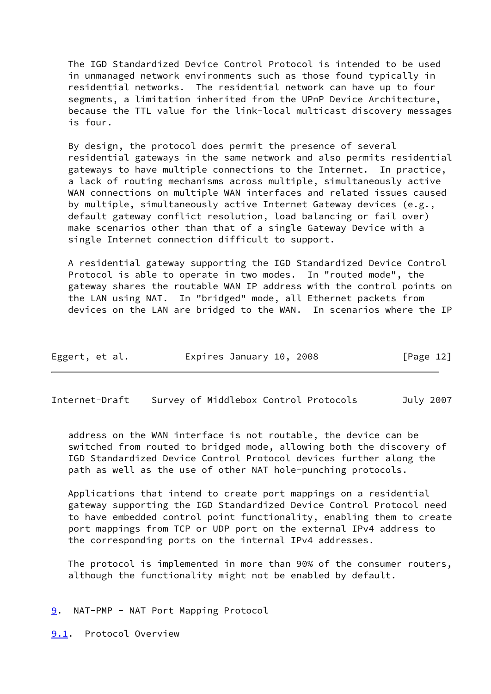The IGD Standardized Device Control Protocol is intended to be used in unmanaged network environments such as those found typically in residential networks. The residential network can have up to four segments, a limitation inherited from the UPnP Device Architecture, because the TTL value for the link-local multicast discovery messages is four.

 By design, the protocol does permit the presence of several residential gateways in the same network and also permits residential gateways to have multiple connections to the Internet. In practice, a lack of routing mechanisms across multiple, simultaneously active WAN connections on multiple WAN interfaces and related issues caused by multiple, simultaneously active Internet Gateway devices (e.g., default gateway conflict resolution, load balancing or fail over) make scenarios other than that of a single Gateway Device with a single Internet connection difficult to support.

 A residential gateway supporting the IGD Standardized Device Control Protocol is able to operate in two modes. In "routed mode", the gateway shares the routable WAN IP address with the control points on the LAN using NAT. In "bridged" mode, all Ethernet packets from devices on the LAN are bridged to the WAN. In scenarios where the IP

| Eggert, et al. | Expires January 10, 2008 | [Page 12] |
|----------------|--------------------------|-----------|
|----------------|--------------------------|-----------|

<span id="page-13-1"></span>Internet-Draft Survey of Middlebox Control Protocols July 2007

 address on the WAN interface is not routable, the device can be switched from routed to bridged mode, allowing both the discovery of IGD Standardized Device Control Protocol devices further along the path as well as the use of other NAT hole-punching protocols.

 Applications that intend to create port mappings on a residential gateway supporting the IGD Standardized Device Control Protocol need to have embedded control point functionality, enabling them to create port mappings from TCP or UDP port on the external IPv4 address to the corresponding ports on the internal IPv4 addresses.

 The protocol is implemented in more than 90% of the consumer routers, although the functionality might not be enabled by default.

<span id="page-13-0"></span>[9](#page-13-0). NAT-PMP - NAT Port Mapping Protocol

<span id="page-13-2"></span>[9.1](#page-13-2). Protocol Overview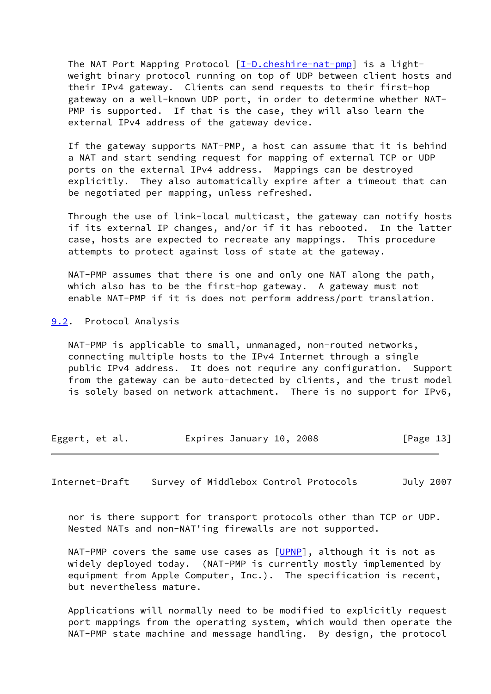The NAT Port Mapping Protocol  $[I-D.cheshire-nat-pmp]$  $[I-D.cheshire-nat-pmp]$  is a light weight binary protocol running on top of UDP between client hosts and their IPv4 gateway. Clients can send requests to their first-hop gateway on a well-known UDP port, in order to determine whether NAT- PMP is supported. If that is the case, they will also learn the external IPv4 address of the gateway device.

 If the gateway supports NAT-PMP, a host can assume that it is behind a NAT and start sending request for mapping of external TCP or UDP ports on the external IPv4 address. Mappings can be destroyed explicitly. They also automatically expire after a timeout that can be negotiated per mapping, unless refreshed.

 Through the use of link-local multicast, the gateway can notify hosts if its external IP changes, and/or if it has rebooted. In the latter case, hosts are expected to recreate any mappings. This procedure attempts to protect against loss of state at the gateway.

 NAT-PMP assumes that there is one and only one NAT along the path, which also has to be the first-hop gateway. A gateway must not enable NAT-PMP if it is does not perform address/port translation.

<span id="page-14-1"></span>[9.2](#page-14-1). Protocol Analysis

 NAT-PMP is applicable to small, unmanaged, non-routed networks, connecting multiple hosts to the IPv4 Internet through a single public IPv4 address. It does not require any configuration. Support from the gateway can be auto-detected by clients, and the trust model is solely based on network attachment. There is no support for IPv6,

Eggert, et al. Expires January 10, 2008 [Page 13]

<span id="page-14-0"></span>Internet-Draft Survey of Middlebox Control Protocols July 2007

 nor is there support for transport protocols other than TCP or UDP. Nested NATs and non-NAT'ing firewalls are not supported.

NAT-PMP covers the same use cases as  $[UPNP]$  $[UPNP]$ , although it is not as widely deployed today. (NAT-PMP is currently mostly implemented by equipment from Apple Computer, Inc.). The specification is recent, but nevertheless mature.

 Applications will normally need to be modified to explicitly request port mappings from the operating system, which would then operate the NAT-PMP state machine and message handling. By design, the protocol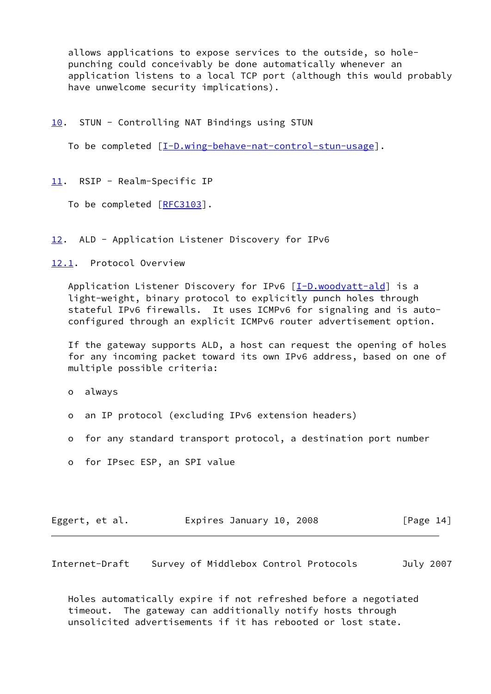allows applications to expose services to the outside, so hole punching could conceivably be done automatically whenever an application listens to a local TCP port (although this would probably have unwelcome security implications).

<span id="page-15-0"></span>[10.](#page-15-0) STUN - Controlling NAT Bindings using STUN

To be completed  $[I-D.wing-behave-nat-control-stun-usage]$  $[I-D.wing-behave-nat-control-stun-usage]$ .

<span id="page-15-1"></span>[11.](#page-15-1) RSIP - Realm-Specific IP

To be completed [\[RFC3103](https://datatracker.ietf.org/doc/pdf/rfc3103)].

<span id="page-15-2"></span>[12.](#page-15-2) ALD - Application Listener Discovery for IPv6

<span id="page-15-4"></span>[12.1](#page-15-4). Protocol Overview

Application Listener Discovery for IPv6 [\[I-D.woodyatt-ald](#page-18-2)] is a light-weight, binary protocol to explicitly punch holes through stateful IPv6 firewalls. It uses ICMPv6 for signaling and is auto configured through an explicit ICMPv6 router advertisement option.

 If the gateway supports ALD, a host can request the opening of holes for any incoming packet toward its own IPv6 address, based on one of multiple possible criteria:

o always

- o an IP protocol (excluding IPv6 extension headers)
- o for any standard transport protocol, a destination port number
- o for IPsec ESP, an SPI value

| Eggert, et al. | Expires January 10, 2008 | [Page 14] |
|----------------|--------------------------|-----------|
|----------------|--------------------------|-----------|

<span id="page-15-3"></span>Internet-Draft Survey of Middlebox Control Protocols July 2007

 Holes automatically expire if not refreshed before a negotiated timeout. The gateway can additionally notify hosts through unsolicited advertisements if it has rebooted or lost state.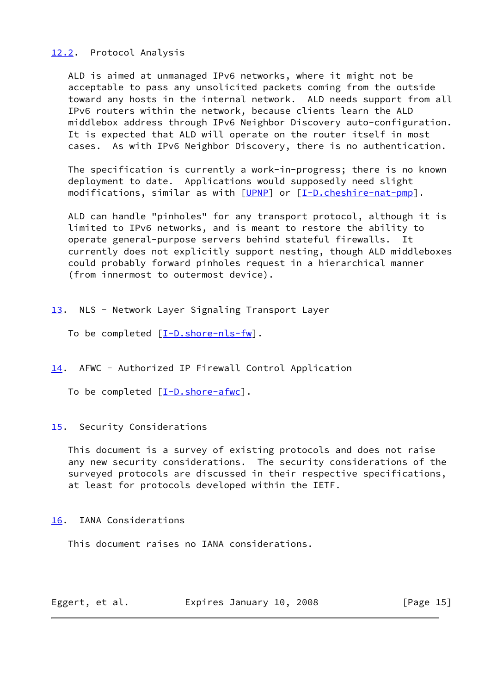## <span id="page-16-4"></span>[12.2](#page-16-4). Protocol Analysis

 ALD is aimed at unmanaged IPv6 networks, where it might not be acceptable to pass any unsolicited packets coming from the outside toward any hosts in the internal network. ALD needs support from all IPv6 routers within the network, because clients learn the ALD middlebox address through IPv6 Neighbor Discovery auto-configuration. It is expected that ALD will operate on the router itself in most cases. As with IPv6 Neighbor Discovery, there is no authentication.

 The specification is currently a work-in-progress; there is no known deployment to date. Applications would supposedly need slight modifications, similar as with [\[UPNP](#page-18-0)] or [\[I-D.cheshire-nat-pmp](#page-17-9)].

 ALD can handle "pinholes" for any transport protocol, although it is limited to IPv6 networks, and is meant to restore the ability to operate general-purpose servers behind stateful firewalls. It currently does not explicitly support nesting, though ALD middleboxes could probably forward pinholes request in a hierarchical manner (from innermost to outermost device).

- <span id="page-16-0"></span>[13.](#page-16-0) NLS - Network Layer Signaling Transport Layer
	- To be completed  $[\underline{I-D.shore-nls-fw}]$ .
- <span id="page-16-1"></span>[14.](#page-16-1) AFWC - Authorized IP Firewall Control Application

To be completed  $[I-D.showe-afwc]$ .

## <span id="page-16-2"></span>[15.](#page-16-2) Security Considerations

 This document is a survey of existing protocols and does not raise any new security considerations. The security considerations of the surveyed protocols are discussed in their respective specifications, at least for protocols developed within the IETF.

## <span id="page-16-3"></span>[16.](#page-16-3) IANA Considerations

This document raises no IANA considerations.

Eggert, et al. Expires January 10, 2008 [Page 15]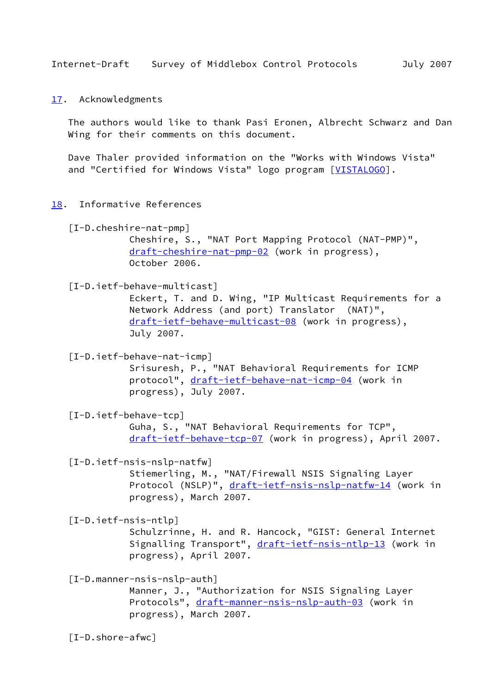```
17. Acknowledgments
```
 The authors would like to thank Pasi Eronen, Albrecht Schwarz and Dan Wing for their comments on this document.

 Dave Thaler provided information on the "Works with Windows Vista" and "Certified for Windows Vista" logo program [\[VISTALOGO](#page-19-1)].

<span id="page-17-2"></span>[18.](#page-17-2) Informative References

```
 [I-D.cheshire-nat-pmp]
Cheshire, S., "NAT Port Mapping Protocol (NAT-PMP)",
draft-cheshire-nat-pmp-02 (work in progress),
October 2006.
```
## <span id="page-17-5"></span>[I-D.ietf-behave-multicast]

 Eckert, T. and D. Wing, "IP Multicast Requirements for a Network Address (and port) Translator (NAT)", [draft-ietf-behave-multicast-08](https://datatracker.ietf.org/doc/pdf/draft-ietf-behave-multicast-08) (work in progress), July 2007.

<span id="page-17-4"></span>[I-D.ietf-behave-nat-icmp]

 Srisuresh, P., "NAT Behavioral Requirements for ICMP protocol", [draft-ietf-behave-nat-icmp-04](https://datatracker.ietf.org/doc/pdf/draft-ietf-behave-nat-icmp-04) (work in progress), July 2007.

<span id="page-17-3"></span>[I-D.ietf-behave-tcp]

 Guha, S., "NAT Behavioral Requirements for TCP", [draft-ietf-behave-tcp-07](https://datatracker.ietf.org/doc/pdf/draft-ietf-behave-tcp-07) (work in progress), April 2007.

<span id="page-17-7"></span>[I-D.ietf-nsis-nslp-natfw]

 Stiemerling, M., "NAT/Firewall NSIS Signaling Layer Protocol (NSLP)", [draft-ietf-nsis-nslp-natfw-14](https://datatracker.ietf.org/doc/pdf/draft-ietf-nsis-nslp-natfw-14) (work in progress), March 2007.

<span id="page-17-6"></span>[I-D.ietf-nsis-ntlp]

 Schulzrinne, H. and R. Hancock, "GIST: General Internet Signalling Transport", [draft-ietf-nsis-ntlp-13](https://datatracker.ietf.org/doc/pdf/draft-ietf-nsis-ntlp-13) (work in progress), April 2007.

<span id="page-17-8"></span>[I-D.manner-nsis-nslp-auth]

 Manner, J., "Authorization for NSIS Signaling Layer Protocols", [draft-manner-nsis-nslp-auth-03](https://datatracker.ietf.org/doc/pdf/draft-manner-nsis-nslp-auth-03) (work in progress), March 2007.

<span id="page-17-10"></span>[I-D.shore-afwc]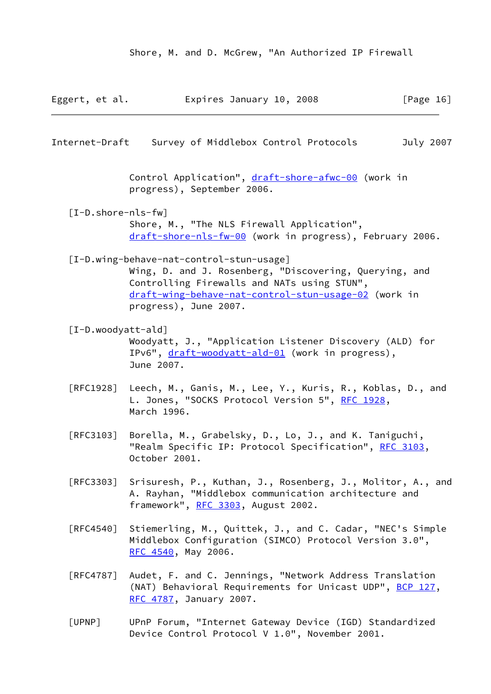Shore, M. and D. McGrew, "An Authorized IP Firewall

<span id="page-18-3"></span><span id="page-18-2"></span><span id="page-18-1"></span>

| Eggert, et al.                   | Expires January 10, 2008                                                                                                                                                                                                           | [Page $16$ ] |
|----------------------------------|------------------------------------------------------------------------------------------------------------------------------------------------------------------------------------------------------------------------------------|--------------|
| Internet-Draft                   | Survey of Middlebox Control Protocols                                                                                                                                                                                              | July 2007    |
|                                  | Control Application", draft-shore-afwc-00 (work in<br>progress), September 2006.                                                                                                                                                   |              |
| $[I-D.shore-nls-fw]$             | Shore, M., "The NLS Firewall Application",<br>draft-shore-nls-fw-00 (work in progress), February 2006.                                                                                                                             |              |
|                                  | [I-D.wing-behave-nat-control-stun-usage]<br>Wing, D. and J. Rosenberg, "Discovering, Querying, and<br>Controlling Firewalls and NATs using STUN",<br>draft-wing-behave-nat-control-stun-usage-02 (work in<br>progress), June 2007. |              |
| [I-D.woodyatt-ald]               | Woodyatt, J., "Application Listener Discovery (ALD) for<br>IPv6", draft-woodyatt-ald-01 (work in progress),<br>June 2007.                                                                                                          |              |
| $\lceil \mathsf{RFC1928} \rceil$ | Leech, M., Ganis, M., Lee, Y., Kuris, R., Koblas, D., and<br>L. Jones, "SOCKS Protocol Version 5", <u>RFC 1928</u> ,<br>March 1996.                                                                                                |              |
| [REC3103]                        | Borella, M., Grabelsky, D., Lo, J., and K. Taniguchi,<br>"Realm Specific IP: Protocol Specification", RFC 3103,<br>October 2001.                                                                                                   |              |
| [REC3303]                        | Srisuresh, P., Kuthan, J., Rosenberg, J., Molitor, A., and<br>A. Rayhan, "Middlebox communication architecture and<br>framework", RFC 3303, August 2002.                                                                           |              |
| [RFC4540]                        | Stiemerling, M., Quittek, J., and C. Cadar, "NEC's Simple<br>Middlebox Configuration (SIMCO) Protocol Version 3.0",<br>RFC 4540, May 2006.                                                                                         |              |
| $\lceil \mathsf{RFC4787} \rceil$ | Audet, F. and C. Jennings, "Network Address Translation<br>(NAT) Behavioral Requirements for Unicast UDP", BCP 127,<br>RFC 4787, January 2007.                                                                                     |              |
|                                  |                                                                                                                                                                                                                                    |              |

<span id="page-18-0"></span> [UPNP] UPnP Forum, "Internet Gateway Device (IGD) Standardized Device Control Protocol V 1.0", November 2001.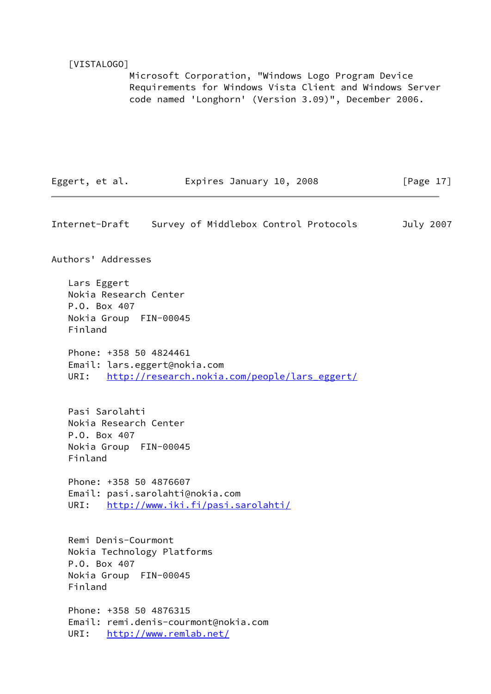#### <span id="page-19-1"></span>[VISTALOGO]

 Microsoft Corporation, "Windows Logo Program Device Requirements for Windows Vista Client and Windows Server code named 'Longhorn' (Version 3.09)", December 2006.

| Eggert, et al. | Expires January 10, 2008 | [Page $17$ ] |
|----------------|--------------------------|--------------|
|----------------|--------------------------|--------------|

<span id="page-19-0"></span>Internet-Draft Survey of Middlebox Control Protocols July 2007 Authors' Addresses Lars Eggert Nokia Research Center P.O. Box 407 Nokia Group FIN-00045 Finland Phone: +358 50 4824461 Email: lars.eggert@nokia.com URI: [http://research.nokia.com/people/lars\\_eggert/](http://research.nokia.com/people/lars_eggert/) Pasi Sarolahti Nokia Research Center P.O. Box 407 Nokia Group FIN-00045 Finland Phone: +358 50 4876607 Email: pasi.sarolahti@nokia.com URI: <http://www.iki.fi/pasi.sarolahti/> Remi Denis-Courmont Nokia Technology Platforms P.O. Box 407 Nokia Group FIN-00045 Finland Phone: +358 50 4876315 Email: remi.denis-courmont@nokia.com URI: <http://www.remlab.net/>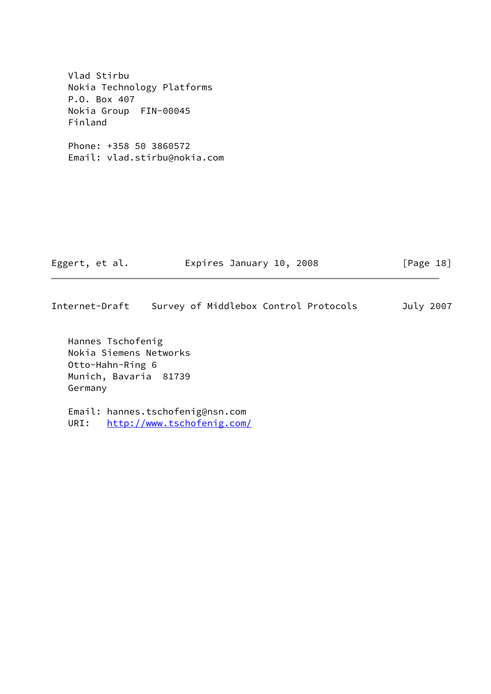Vlad Stirbu Nokia Technology Platforms P.O. Box 407 Nokia Group FIN-00045 Finland

 Phone: +358 50 3860572 Email: vlad.stirbu@nokia.com

| Eggert, et al. | Expires January 10, 2008 | [Page 18] |
|----------------|--------------------------|-----------|
|                |                          |           |

Internet-Draft Survey of Middlebox Control Protocols July 2007

 Hannes Tschofenig Nokia Siemens Networks Otto-Hahn-Ring 6 Munich, Bavaria 81739 Germany

 Email: hannes.tschofenig@nsn.com URI: <http://www.tschofenig.com/>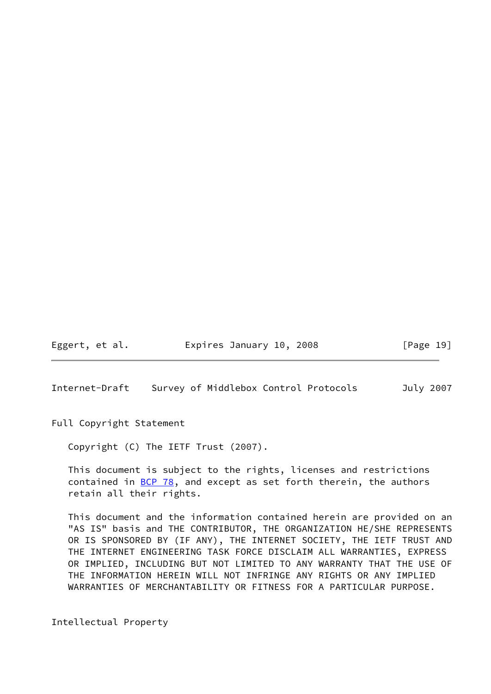Eggert, et al. Expires January 10, 2008 [Page 19]

<span id="page-21-0"></span>Internet-Draft Survey of Middlebox Control Protocols July 2007

Full Copyright Statement

Copyright (C) The IETF Trust (2007).

 This document is subject to the rights, licenses and restrictions contained in  $\underline{BCP}$  78, and except as set forth therein, the authors retain all their rights.

 This document and the information contained herein are provided on an "AS IS" basis and THE CONTRIBUTOR, THE ORGANIZATION HE/SHE REPRESENTS OR IS SPONSORED BY (IF ANY), THE INTERNET SOCIETY, THE IETF TRUST AND THE INTERNET ENGINEERING TASK FORCE DISCLAIM ALL WARRANTIES, EXPRESS OR IMPLIED, INCLUDING BUT NOT LIMITED TO ANY WARRANTY THAT THE USE OF THE INFORMATION HEREIN WILL NOT INFRINGE ANY RIGHTS OR ANY IMPLIED WARRANTIES OF MERCHANTABILITY OR FITNESS FOR A PARTICULAR PURPOSE.

Intellectual Property